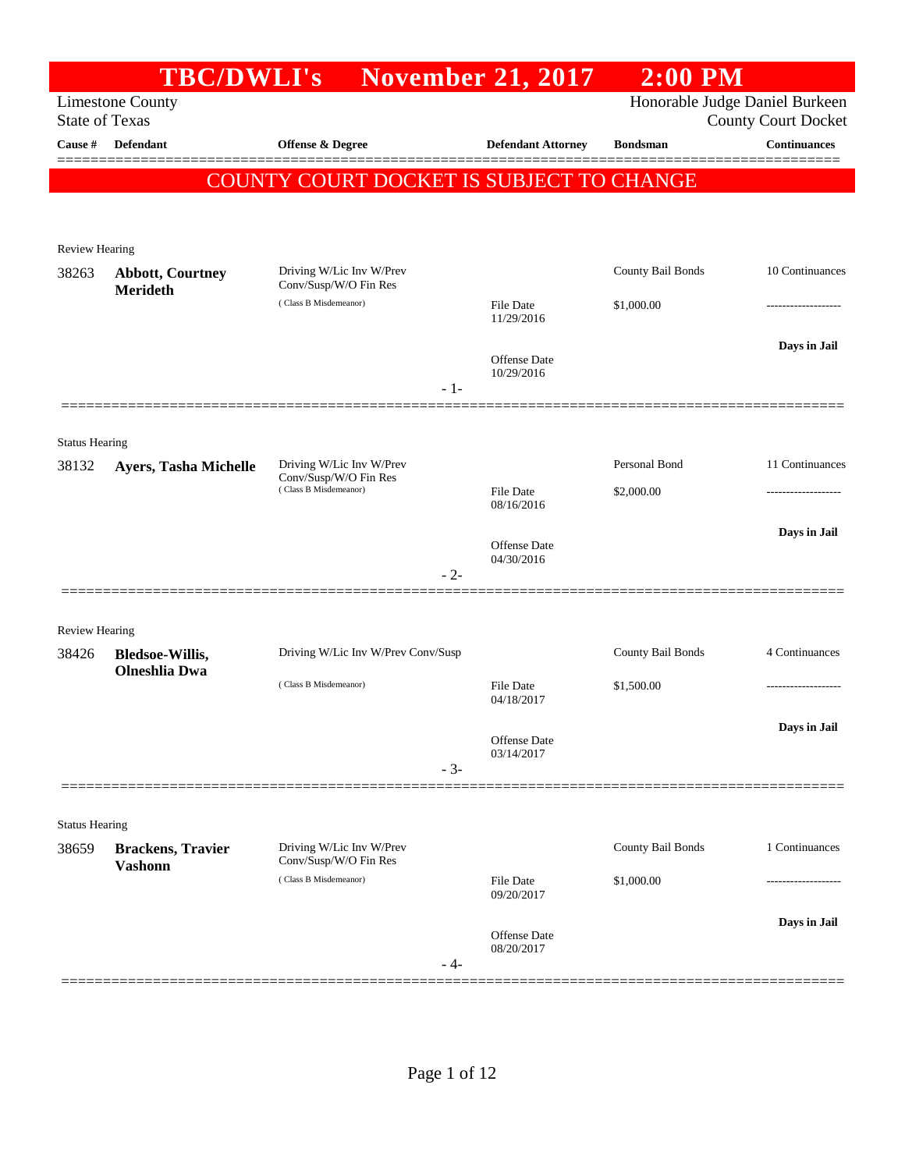|                                  |                                            | <b>TBC/DWLI's</b> November 21, 2017               |                            | $2:00$ PM                |                                                   |
|----------------------------------|--------------------------------------------|---------------------------------------------------|----------------------------|--------------------------|---------------------------------------------------|
|                                  | <b>Limestone County</b>                    |                                                   |                            |                          | Honorable Judge Daniel Burkeen                    |
| <b>State of Texas</b><br>Cause # | <b>Defendant</b>                           | Offense & Degree                                  | <b>Defendant Attorney</b>  | <b>Bondsman</b>          | <b>County Court Docket</b><br><b>Continuances</b> |
|                                  |                                            |                                                   |                            |                          |                                                   |
|                                  |                                            | COUNTY COURT DOCKET IS SUBJECT TO CHANGE          |                            |                          |                                                   |
| <b>Review Hearing</b>            |                                            |                                                   |                            |                          |                                                   |
| 38263                            | <b>Abbott, Courtney</b><br><b>Merideth</b> | Driving W/Lic Inv W/Prev<br>Conv/Susp/W/O Fin Res |                            | <b>County Bail Bonds</b> | 10 Continuances                                   |
|                                  |                                            | (Class B Misdemeanor)                             | File Date<br>11/29/2016    | \$1,000.00               |                                                   |
|                                  |                                            | $-1-$                                             | Offense Date<br>10/29/2016 |                          | Days in Jail                                      |
| <b>Status Hearing</b>            |                                            |                                                   |                            |                          |                                                   |
| 38132                            | Ayers, Tasha Michelle                      | Driving W/Lic Inv W/Prev                          |                            | Personal Bond            | 11 Continuances                                   |
|                                  |                                            | Conv/Susp/W/O Fin Res<br>(Class B Misdemeanor)    | File Date<br>08/16/2016    | \$2,000.00               |                                                   |
|                                  |                                            |                                                   | Offense Date<br>04/30/2016 |                          | Days in Jail                                      |
|                                  |                                            | $-2-$                                             |                            |                          |                                                   |
| <b>Review Hearing</b>            |                                            |                                                   |                            |                          |                                                   |
| 38426                            | Bledsoe-Willis,<br><b>Olneshlia</b> Dwa    | Driving W/Lic Inv W/Prev Conv/Susp                |                            | County Bail Bonds        | 4 Continuances                                    |
|                                  |                                            | (Class B Misdemeanor)                             | File Date<br>04/18/2017    | \$1,500.00               |                                                   |
|                                  |                                            |                                                   | Offense Date<br>03/14/2017 |                          | Days in Jail                                      |
|                                  |                                            | $-3-$                                             |                            |                          |                                                   |
| <b>Status Hearing</b>            |                                            |                                                   |                            |                          |                                                   |
| 38659                            | <b>Brackens, Travier</b><br><b>Vashonn</b> | Driving W/Lic Inv W/Prev<br>Conv/Susp/W/O Fin Res |                            | County Bail Bonds        | 1 Continuances                                    |
|                                  |                                            | (Class B Misdemeanor)                             | File Date<br>09/20/2017    | \$1,000.00               |                                                   |
|                                  |                                            | - 4-                                              | Offense Date<br>08/20/2017 |                          | Days in Jail                                      |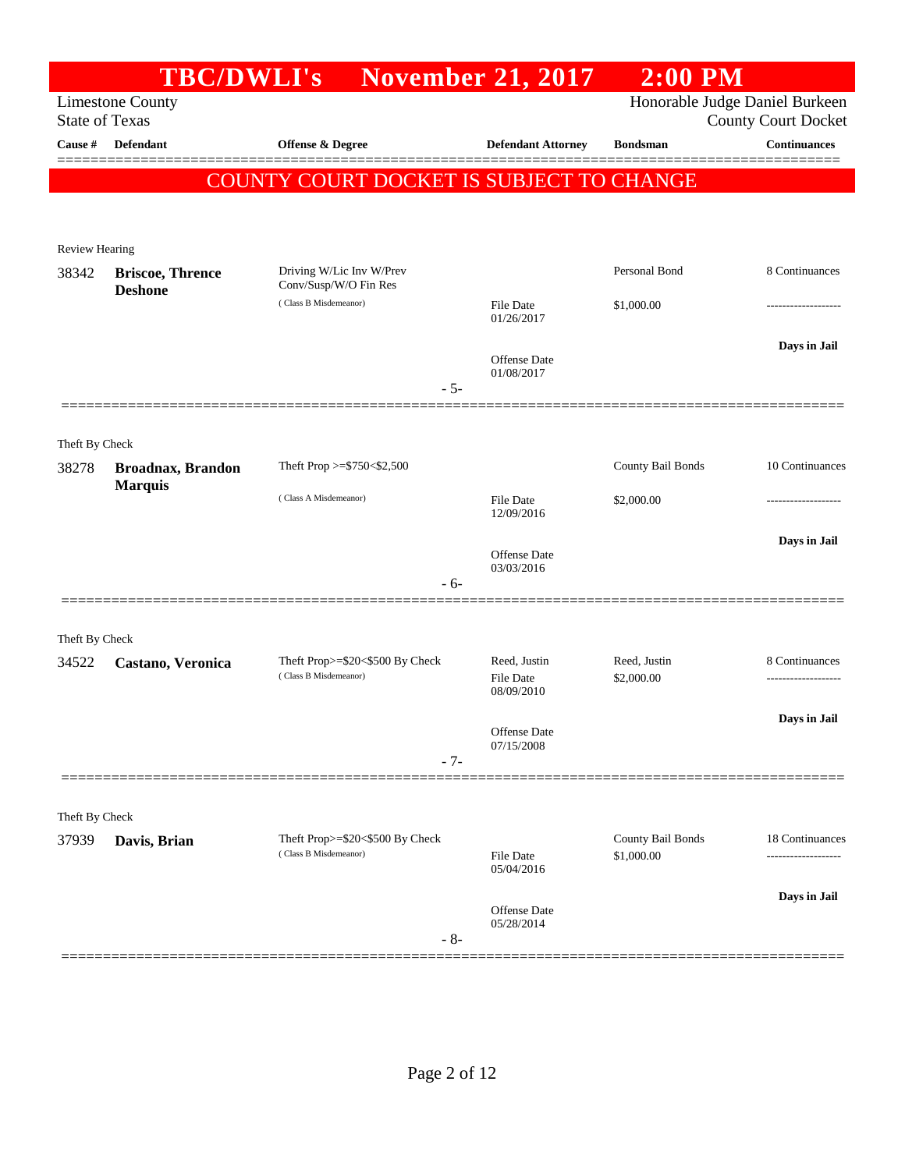|                         | <b>TBC/DWLI's</b>        |                                          | <b>November 21, 2017</b>          | $2:00$ PM         |                                |
|-------------------------|--------------------------|------------------------------------------|-----------------------------------|-------------------|--------------------------------|
|                         | <b>Limestone County</b>  |                                          |                                   |                   | Honorable Judge Daniel Burkeen |
| <b>State of Texas</b>   |                          |                                          |                                   |                   | <b>County Court Docket</b>     |
| Cause #                 | Defendant                | <b>Offense &amp; Degree</b>              | <b>Defendant Attorney</b>         | <b>Bondsman</b>   | <b>Continuances</b>            |
|                         |                          | COUNTY COURT DOCKET IS SUBJECT TO CHANGE |                                   |                   |                                |
|                         |                          |                                          |                                   |                   |                                |
|                         |                          |                                          |                                   |                   |                                |
| Review Hearing<br>38342 | <b>Briscoe, Thrence</b>  | Driving W/Lic Inv W/Prev                 |                                   | Personal Bond     | 8 Continuances                 |
|                         | <b>Deshone</b>           | Conv/Susp/W/O Fin Res                    |                                   |                   |                                |
|                         |                          | (Class B Misdemeanor)                    | File Date<br>01/26/2017           | \$1,000.00        |                                |
|                         |                          |                                          |                                   |                   | Days in Jail                   |
|                         |                          |                                          | Offense Date<br>01/08/2017        |                   |                                |
|                         |                          | $-5-$                                    |                                   |                   |                                |
|                         |                          |                                          |                                   |                   |                                |
| Theft By Check          |                          |                                          |                                   |                   |                                |
| 38278                   | <b>Broadnax, Brandon</b> | Theft Prop >=\$750<\$2,500               |                                   | County Bail Bonds | 10 Continuances                |
|                         | <b>Marquis</b>           | (Class A Misdemeanor)                    | File Date                         | \$2,000.00        |                                |
|                         |                          |                                          | 12/09/2016                        |                   |                                |
|                         |                          |                                          | Offense Date                      |                   | Days in Jail                   |
|                         |                          | $-6-$                                    | 03/03/2016                        |                   |                                |
|                         |                          |                                          |                                   |                   |                                |
| Theft By Check          |                          |                                          |                                   |                   |                                |
| 34522                   | Castano, Veronica        | Theft Prop>=\$20<\$500 By Check          | Reed, Justin                      | Reed, Justin      | 8 Continuances                 |
|                         |                          | (Class B Misdemeanor)                    | <b>File Date</b><br>08/09/2010    | \$2,000.00        |                                |
|                         |                          |                                          |                                   |                   |                                |
|                         |                          |                                          | Offense Date                      |                   | Days in Jail                   |
|                         |                          | $-7-$                                    | 07/15/2008                        |                   |                                |
|                         |                          |                                          |                                   |                   |                                |
| Theft By Check          |                          |                                          |                                   |                   |                                |
| 37939                   | Davis, Brian             | Theft Prop>=\$20<\$500 By Check          |                                   | County Bail Bonds | 18 Continuances                |
|                         |                          | (Class B Misdemeanor)                    | File Date<br>05/04/2016           | \$1,000.00        |                                |
|                         |                          |                                          |                                   |                   | Days in Jail                   |
|                         |                          |                                          | <b>Offense</b> Date<br>05/28/2014 |                   |                                |
|                         |                          | $-8-$                                    |                                   |                   |                                |
|                         |                          |                                          |                                   |                   |                                |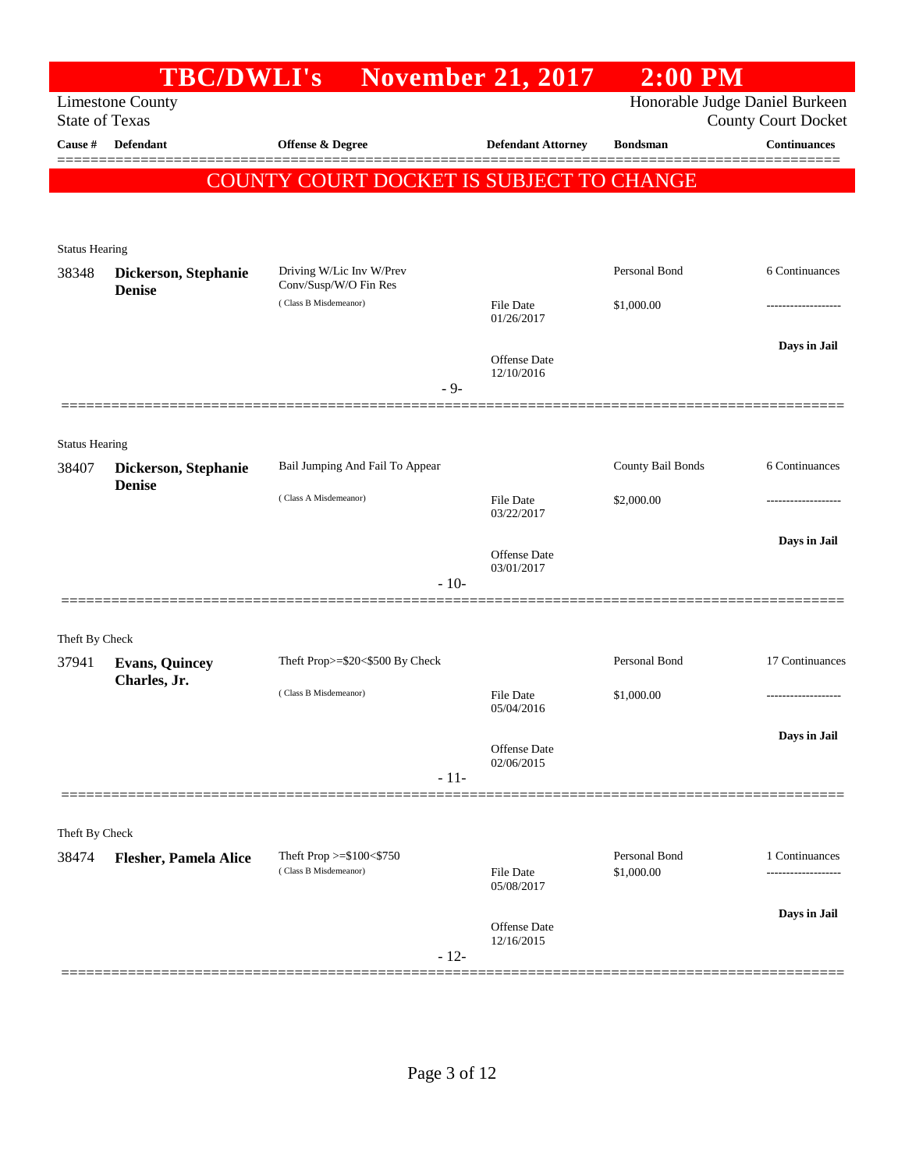|                                | <b>TBC/DWLI's</b>                     |                                                   | <b>November 21, 2017</b>          | $2:00$ PM                   |                                                              |
|--------------------------------|---------------------------------------|---------------------------------------------------|-----------------------------------|-----------------------------|--------------------------------------------------------------|
| <b>State of Texas</b>          | <b>Limestone County</b>               |                                                   |                                   |                             | Honorable Judge Daniel Burkeen<br><b>County Court Docket</b> |
| Cause #                        | <b>Defendant</b>                      | Offense & Degree                                  | <b>Defendant Attorney</b>         | <b>Bondsman</b>             | <b>Continuances</b>                                          |
|                                |                                       | COUNTY COURT DOCKET IS SUBJECT TO CHANGE          |                                   |                             |                                                              |
| <b>Status Hearing</b>          |                                       |                                                   |                                   |                             |                                                              |
| 38348                          | Dickerson, Stephanie<br><b>Denise</b> | Driving W/Lic Inv W/Prev<br>Conv/Susp/W/O Fin Res |                                   | Personal Bond               | 6 Continuances                                               |
|                                |                                       | (Class B Misdemeanor)                             | <b>File Date</b><br>01/26/2017    | \$1,000.00                  |                                                              |
|                                |                                       | $-9-$                                             | <b>Offense</b> Date<br>12/10/2016 |                             | Days in Jail                                                 |
|                                |                                       |                                                   |                                   |                             |                                                              |
| <b>Status Hearing</b><br>38407 | Dickerson, Stephanie<br><b>Denise</b> | Bail Jumping And Fail To Appear                   |                                   | County Bail Bonds           | 6 Continuances                                               |
|                                |                                       | (Class A Misdemeanor)                             | <b>File Date</b><br>03/22/2017    | \$2,000.00                  |                                                              |
|                                |                                       |                                                   | <b>Offense</b> Date<br>03/01/2017 |                             | Days in Jail                                                 |
|                                |                                       | $-10-$                                            |                                   |                             |                                                              |
| Theft By Check                 |                                       |                                                   |                                   |                             |                                                              |
| 37941                          | <b>Evans, Quincey</b>                 | Theft Prop>=\$20<\$500 By Check                   |                                   | Personal Bond               | 17 Continuances                                              |
|                                | Charles, Jr.                          | (Class B Misdemeanor)                             | File Date<br>05/04/2016           | \$1,000.00                  | -------------------                                          |
|                                |                                       | $-11-$                                            | Offense Date<br>02/06/2015        |                             | Days in Jail                                                 |
|                                |                                       |                                                   |                                   |                             |                                                              |
| Theft By Check                 |                                       |                                                   |                                   |                             |                                                              |
| 38474                          | <b>Flesher, Pamela Alice</b>          | Theft Prop >=\$100<\$750<br>(Class B Misdemeanor) | <b>File Date</b><br>05/08/2017    | Personal Bond<br>\$1,000.00 | 1 Continuances                                               |
|                                |                                       | $-12-$                                            | Offense Date<br>12/16/2015        |                             | Days in Jail                                                 |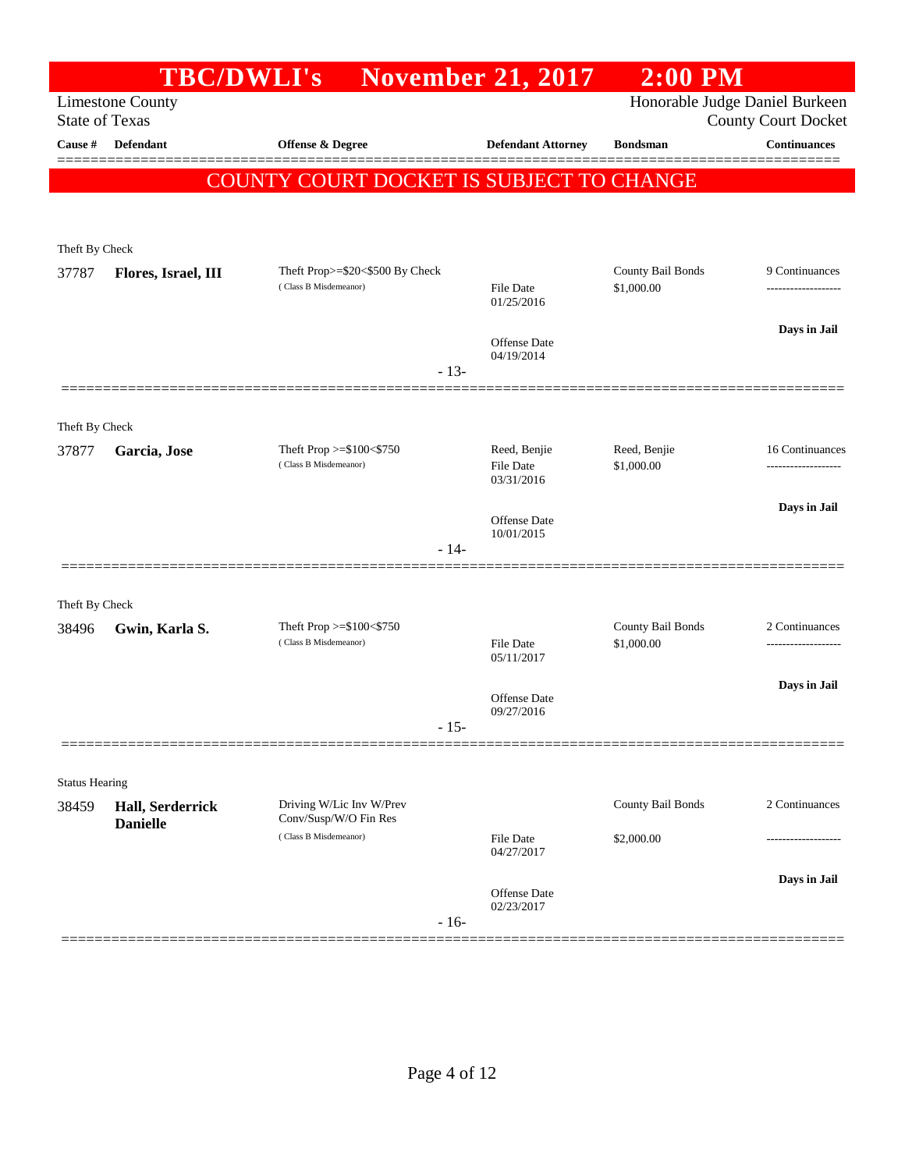|                                | <b>TBC/DWLI's</b>       |                                                          |        | <b>November 21, 2017</b>       | $2:00$ PM                       |                                                              |
|--------------------------------|-------------------------|----------------------------------------------------------|--------|--------------------------------|---------------------------------|--------------------------------------------------------------|
| <b>State of Texas</b>          | <b>Limestone County</b> |                                                          |        |                                |                                 | Honorable Judge Daniel Burkeen<br><b>County Court Docket</b> |
| Cause #                        | <b>Defendant</b>        | <b>Offense &amp; Degree</b>                              |        | <b>Defendant Attorney</b>      | <b>Bondsman</b>                 | <b>Continuances</b>                                          |
|                                |                         | COUNTY COURT DOCKET IS SUBJECT TO CHANGE                 |        |                                |                                 |                                                              |
|                                |                         |                                                          |        |                                |                                 |                                                              |
|                                |                         |                                                          |        |                                |                                 |                                                              |
| Theft By Check                 |                         | Theft Prop>=\$20<\$500 By Check                          |        |                                | County Bail Bonds               | 9 Continuances                                               |
| 37787                          | Flores, Israel, III     | (Class B Misdemeanor)                                    |        | <b>File Date</b><br>01/25/2016 | \$1,000.00                      | ------------------                                           |
|                                |                         |                                                          |        | Offense Date<br>04/19/2014     |                                 | Days in Jail                                                 |
|                                |                         |                                                          | $-13-$ |                                |                                 |                                                              |
|                                |                         |                                                          |        |                                |                                 |                                                              |
| Theft By Check<br>37877        | Garcia, Jose            | Theft Prop >=\$100<\$750                                 |        | Reed, Benjie                   | Reed, Benjie                    | 16 Continuances                                              |
|                                |                         | (Class B Misdemeanor)                                    |        | <b>File Date</b><br>03/31/2016 | \$1,000.00                      |                                                              |
|                                |                         |                                                          |        | Offense Date                   |                                 | Days in Jail                                                 |
|                                |                         |                                                          | $-14-$ | 10/01/2015                     |                                 |                                                              |
|                                |                         |                                                          |        |                                |                                 |                                                              |
| Theft By Check                 |                         |                                                          |        |                                |                                 |                                                              |
| 38496                          | Gwin, Karla S.          | Theft Prop $>=$ \$100 $<$ \$750<br>(Class B Misdemeanor) |        | <b>File Date</b>               | County Bail Bonds<br>\$1,000.00 | 2 Continuances<br>------------------                         |
|                                |                         |                                                          |        | 05/11/2017                     |                                 |                                                              |
|                                |                         |                                                          |        | Offense Date<br>09/27/2016     |                                 | Days in Jail                                                 |
|                                |                         |                                                          | $-15-$ |                                |                                 |                                                              |
|                                |                         |                                                          |        |                                |                                 |                                                              |
| <b>Status Hearing</b><br>38459 | Hall, Serderrick        | Driving W/Lic Inv W/Prev                                 |        |                                | County Bail Bonds               | 2 Continuances                                               |
|                                | <b>Danielle</b>         | Conv/Susp/W/O Fin Res<br>(Class B Misdemeanor)           |        | <b>File Date</b><br>04/27/2017 | \$2,000.00                      |                                                              |
|                                |                         |                                                          |        |                                |                                 | Days in Jail                                                 |
|                                |                         |                                                          | $-16-$ | Offense Date<br>02/23/2017     |                                 |                                                              |
|                                |                         |                                                          |        |                                |                                 |                                                              |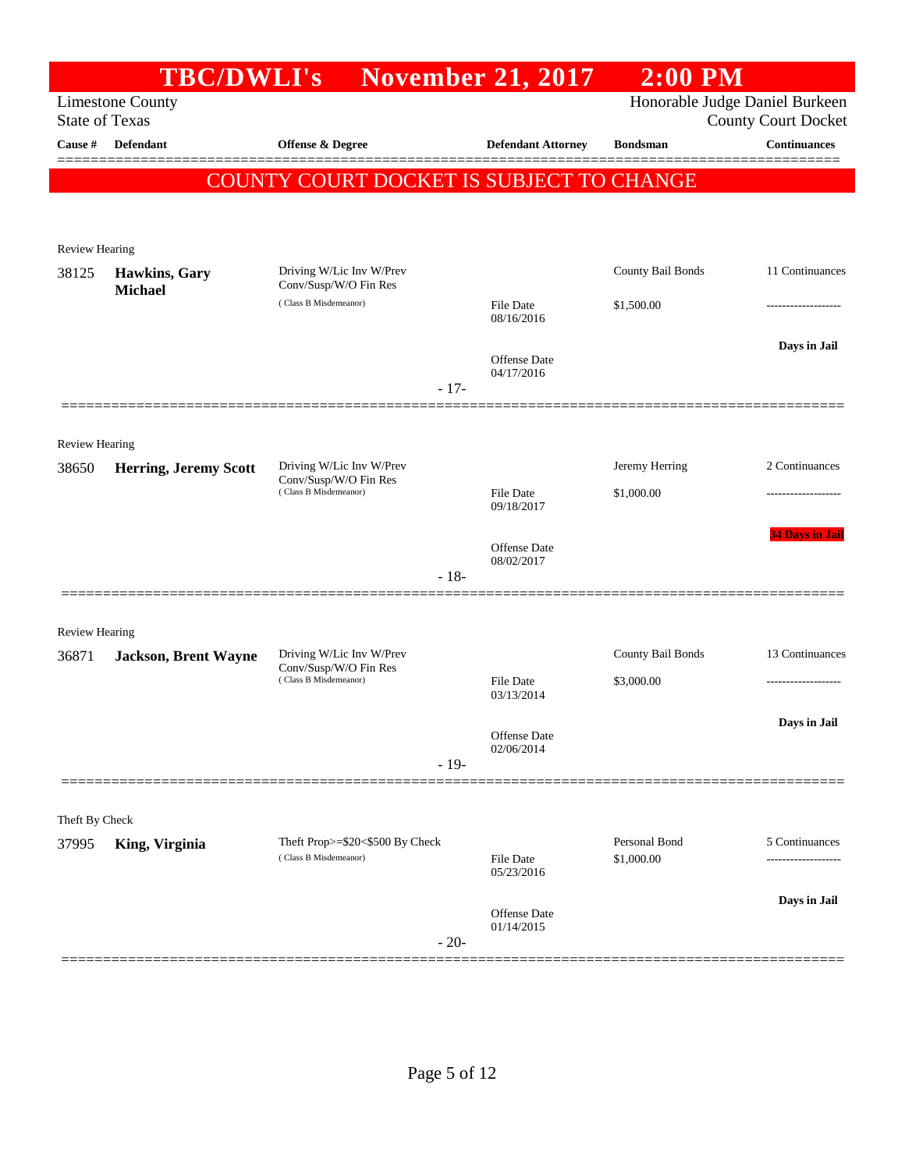|                                | <b>TBC/DWLI's</b>           |                                                          | <b>November 21, 2017</b>       | $2:00$ PM         |                                                              |
|--------------------------------|-----------------------------|----------------------------------------------------------|--------------------------------|-------------------|--------------------------------------------------------------|
| <b>State of Texas</b>          | <b>Limestone County</b>     |                                                          |                                |                   | Honorable Judge Daniel Burkeen<br><b>County Court Docket</b> |
| Cause #                        | Defendant                   | <b>Offense &amp; Degree</b>                              | <b>Defendant Attorney</b>      | <b>Bondsman</b>   | <b>Continuances</b>                                          |
|                                |                             | <b>COUNTY COURT DOCKET IS SUBJECT TO CHANGE</b>          |                                |                   |                                                              |
|                                |                             |                                                          |                                |                   |                                                              |
| <b>Review Hearing</b>          |                             |                                                          |                                |                   |                                                              |
| 38125                          | Hawkins, Gary               | Driving W/Lic Inv W/Prev                                 |                                | County Bail Bonds | 11 Continuances                                              |
|                                | <b>Michael</b>              | Conv/Susp/W/O Fin Res<br>(Class B Misdemeanor)           | <b>File Date</b><br>08/16/2016 | \$1,500.00        |                                                              |
|                                |                             |                                                          | Offense Date<br>04/17/2016     |                   | Days in Jail                                                 |
|                                |                             | $-17-$                                                   |                                |                   |                                                              |
|                                |                             |                                                          |                                |                   |                                                              |
| <b>Review Hearing</b><br>38650 | Herring, Jeremy Scott       | Driving W/Lic Inv W/Prev                                 |                                | Jeremy Herring    | 2 Continuances                                               |
|                                |                             | Conv/Susp/W/O Fin Res<br>(Class B Misdemeanor)           | <b>File Date</b>               | \$1,000.00        |                                                              |
|                                |                             |                                                          | 09/18/2017                     |                   |                                                              |
|                                |                             |                                                          | Offense Date<br>08/02/2017     |                   | <b>34 Days in Jail</b>                                       |
|                                |                             | $-18-$                                                   |                                |                   |                                                              |
|                                |                             |                                                          |                                |                   |                                                              |
| <b>Review Hearing</b><br>36871 | <b>Jackson, Brent Wayne</b> | Driving W/Lic Inv W/Prev                                 |                                | County Bail Bonds | 13 Continuances                                              |
|                                |                             | Conv/Susp/W/O Fin Res<br>(Class B Misdemeanor)           | <b>File Date</b>               | \$3,000.00        |                                                              |
|                                |                             |                                                          | 03/13/2014                     |                   |                                                              |
|                                |                             |                                                          | Offense Date<br>02/06/2014     |                   | Days in Jail                                                 |
|                                |                             | $-19-$                                                   |                                |                   |                                                              |
|                                |                             |                                                          |                                |                   |                                                              |
| Theft By Check                 |                             |                                                          |                                | Personal Bond     |                                                              |
| 37995                          | King, Virginia              | Theft Prop>=\$20<\$500 By Check<br>(Class B Misdemeanor) | <b>File Date</b><br>05/23/2016 | \$1,000.00        | 5 Continuances                                               |
|                                |                             |                                                          | Offense Date<br>01/14/2015     |                   | Days in Jail                                                 |
|                                |                             | $-20-$                                                   |                                |                   |                                                              |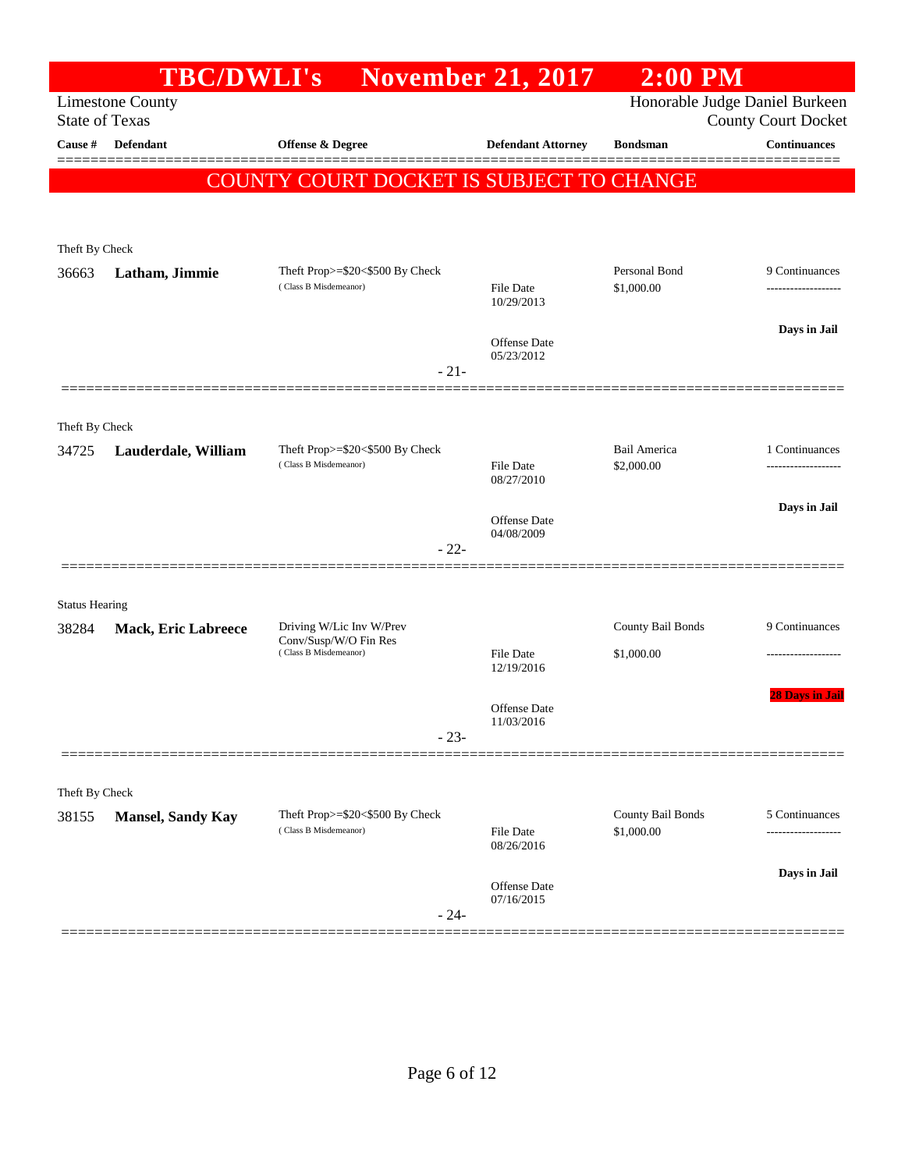|                         | <b>TBC/DWLI's</b>          |                                                                  | <b>November 21, 2017</b>          | $2:00$ PM                      |                            |
|-------------------------|----------------------------|------------------------------------------------------------------|-----------------------------------|--------------------------------|----------------------------|
| <b>State of Texas</b>   | <b>Limestone County</b>    |                                                                  |                                   | Honorable Judge Daniel Burkeen | <b>County Court Docket</b> |
| Cause #                 | Defendant                  | <b>Offense &amp; Degree</b>                                      | <b>Defendant Attorney</b>         | <b>Bondsman</b>                | <b>Continuances</b>        |
|                         |                            |                                                                  |                                   |                                |                            |
|                         |                            | COUNTY COURT DOCKET IS SUBJECT TO CHANGE                         |                                   |                                |                            |
|                         |                            |                                                                  |                                   |                                |                            |
| Theft By Check          |                            |                                                                  |                                   |                                |                            |
| 36663                   | Latham, Jimmie             | Theft Prop $>=$ \$20 $<$ \$500 By Check<br>(Class B Misdemeanor) | File Date                         | Personal Bond<br>\$1,000.00    | 9 Continuances             |
|                         |                            |                                                                  | 10/29/2013                        |                                |                            |
|                         |                            |                                                                  | <b>Offense Date</b>               |                                | Days in Jail               |
|                         |                            | $-21-$                                                           | 05/23/2012                        |                                |                            |
|                         |                            |                                                                  |                                   |                                |                            |
| Theft By Check          |                            |                                                                  |                                   |                                |                            |
| 34725                   | Lauderdale, William        | Theft Prop>=\$20<\$500 By Check                                  |                                   | Bail America                   | 1 Continuances             |
|                         |                            | (Class B Misdemeanor)                                            | File Date<br>08/27/2010           | \$2,000.00                     | -----------------          |
|                         |                            |                                                                  |                                   |                                | Days in Jail               |
|                         |                            |                                                                  | <b>Offense Date</b><br>04/08/2009 |                                |                            |
|                         |                            | $-22-$                                                           |                                   |                                |                            |
|                         |                            |                                                                  |                                   |                                |                            |
| <b>Status Hearing</b>   |                            | Driving W/Lic Inv W/Prev                                         |                                   | County Bail Bonds              | 9 Continuances             |
| 38284                   | <b>Mack, Eric Labreece</b> | Conv/Susp/W/O Fin Res<br>(Class B Misdemeanor)                   | File Date                         | \$1,000.00                     |                            |
|                         |                            |                                                                  | 12/19/2016                        |                                |                            |
|                         |                            |                                                                  | Offense Date                      |                                | <b>28 Days in Jail</b>     |
|                         |                            |                                                                  | 11/03/2016                        |                                |                            |
|                         |                            | $-23-$                                                           |                                   |                                |                            |
|                         |                            |                                                                  |                                   |                                |                            |
| Theft By Check<br>38155 | <b>Mansel, Sandy Kay</b>   | Theft Prop>=\$20<\$500 By Check                                  |                                   | County Bail Bonds              | 5 Continuances             |
|                         |                            | (Class B Misdemeanor)                                            | File Date<br>08/26/2016           | \$1,000.00                     | ------------------         |
|                         |                            |                                                                  |                                   |                                | Days in Jail               |
|                         |                            |                                                                  | <b>Offense Date</b><br>07/16/2015 |                                |                            |
|                         |                            | $-24-$                                                           |                                   |                                |                            |
|                         |                            |                                                                  |                                   |                                |                            |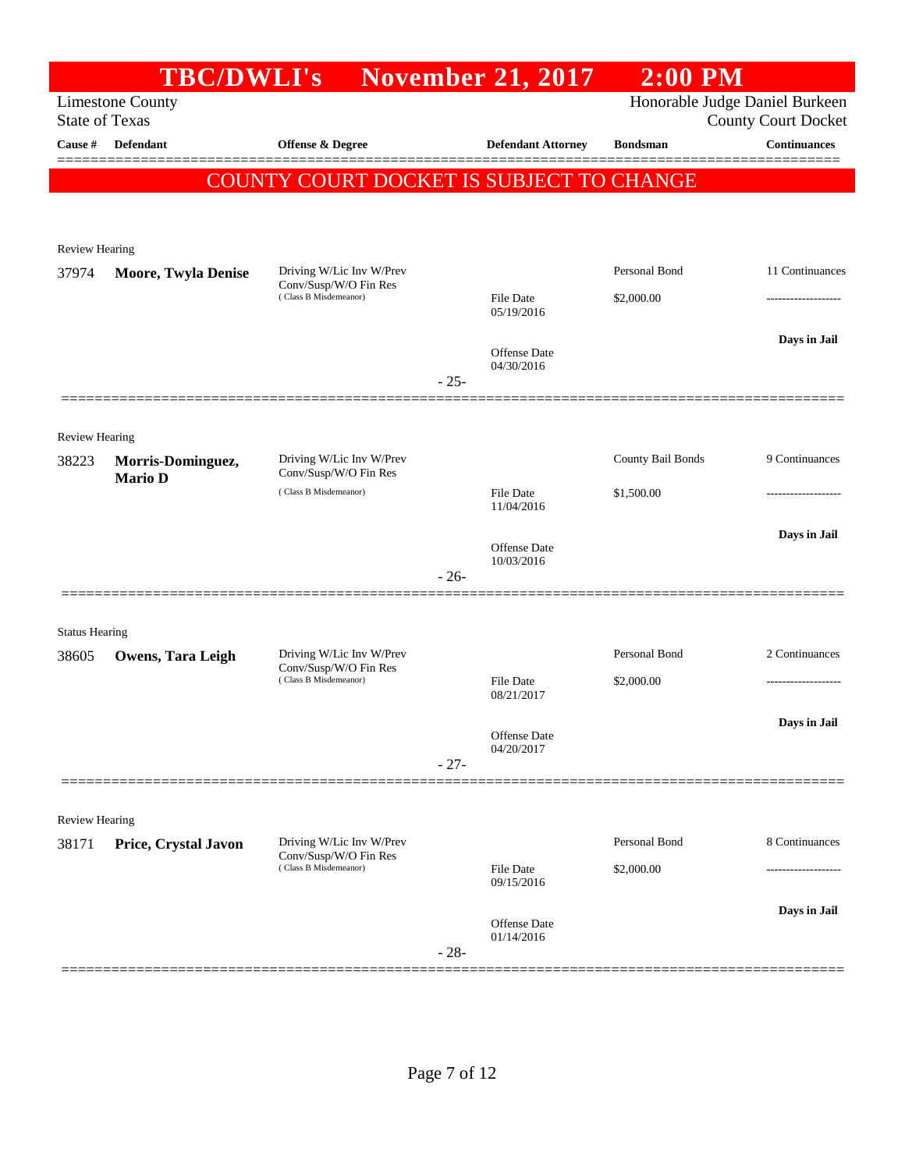|                       |                            | <b>TBC/DWLI's</b> November 21, 2017               |        |                                   | $2:00$ PM         |                                |
|-----------------------|----------------------------|---------------------------------------------------|--------|-----------------------------------|-------------------|--------------------------------|
|                       | <b>Limestone County</b>    |                                                   |        |                                   |                   | Honorable Judge Daniel Burkeen |
| <b>State of Texas</b> |                            |                                                   |        |                                   |                   | <b>County Court Docket</b>     |
| Cause #               | Defendant                  | Offense & Degree                                  |        | <b>Defendant Attorney</b>         | <b>Bondsman</b>   | <b>Continuances</b>            |
|                       |                            | COUNTY COURT DOCKET IS SUBJECT TO CHANGE          |        |                                   |                   |                                |
|                       |                            |                                                   |        |                                   |                   |                                |
|                       |                            |                                                   |        |                                   |                   |                                |
| <b>Review Hearing</b> |                            |                                                   |        |                                   |                   |                                |
| 37974                 | <b>Moore, Twyla Denise</b> | Driving W/Lic Inv W/Prev<br>Conv/Susp/W/O Fin Res |        |                                   | Personal Bond     | 11 Continuances                |
|                       |                            | (Class B Misdemeanor)                             |        | <b>File Date</b><br>05/19/2016    | \$2,000.00        |                                |
|                       |                            |                                                   |        |                                   |                   | Days in Jail                   |
|                       |                            |                                                   |        | <b>Offense</b> Date<br>04/30/2016 |                   |                                |
|                       |                            |                                                   | $-25-$ |                                   |                   |                                |
|                       |                            |                                                   |        |                                   |                   |                                |
| Review Hearing        |                            |                                                   |        |                                   |                   |                                |
| 38223                 | Morris-Dominguez,          | Driving W/Lic Inv W/Prev                          |        |                                   | County Bail Bonds | 9 Continuances                 |
|                       | <b>Mario D</b>             | Conv/Susp/W/O Fin Res<br>(Class B Misdemeanor)    |        | <b>File Date</b>                  | \$1,500.00        | .                              |
|                       |                            |                                                   |        | 11/04/2016                        |                   |                                |
|                       |                            |                                                   |        |                                   |                   | Days in Jail                   |
|                       |                            |                                                   |        | <b>Offense</b> Date<br>10/03/2016 |                   |                                |
|                       |                            |                                                   | $-26-$ |                                   |                   |                                |
|                       |                            |                                                   |        |                                   |                   |                                |
| <b>Status Hearing</b> |                            |                                                   |        |                                   |                   |                                |
| 38605                 | Owens, Tara Leigh          | Driving W/Lic Inv W/Prev<br>Conv/Susp/W/O Fin Res |        |                                   | Personal Bond     | 2 Continuances                 |
|                       |                            | (Class B Misdemeanor)                             |        | <b>File Date</b><br>08/21/2017    | \$2,000.00        |                                |
|                       |                            |                                                   |        |                                   |                   | Days in Jail                   |
|                       |                            |                                                   |        | Offense Date<br>04/20/2017        |                   |                                |
|                       |                            |                                                   | $-27-$ |                                   |                   |                                |
|                       |                            |                                                   |        |                                   |                   |                                |
| Review Hearing        |                            |                                                   |        |                                   |                   |                                |
| 38171                 | Price, Crystal Javon       | Driving W/Lic Inv W/Prev                          |        |                                   | Personal Bond     | 8 Continuances                 |
|                       |                            | Conv/Susp/W/O Fin Res<br>(Class B Misdemeanor)    |        | <b>File Date</b>                  | \$2,000.00        |                                |
|                       |                            |                                                   |        | 09/15/2016                        |                   |                                |
|                       |                            |                                                   |        | Offense Date                      |                   | Days in Jail                   |
|                       |                            |                                                   | $-28-$ | 01/14/2016                        |                   |                                |
|                       |                            |                                                   |        |                                   |                   |                                |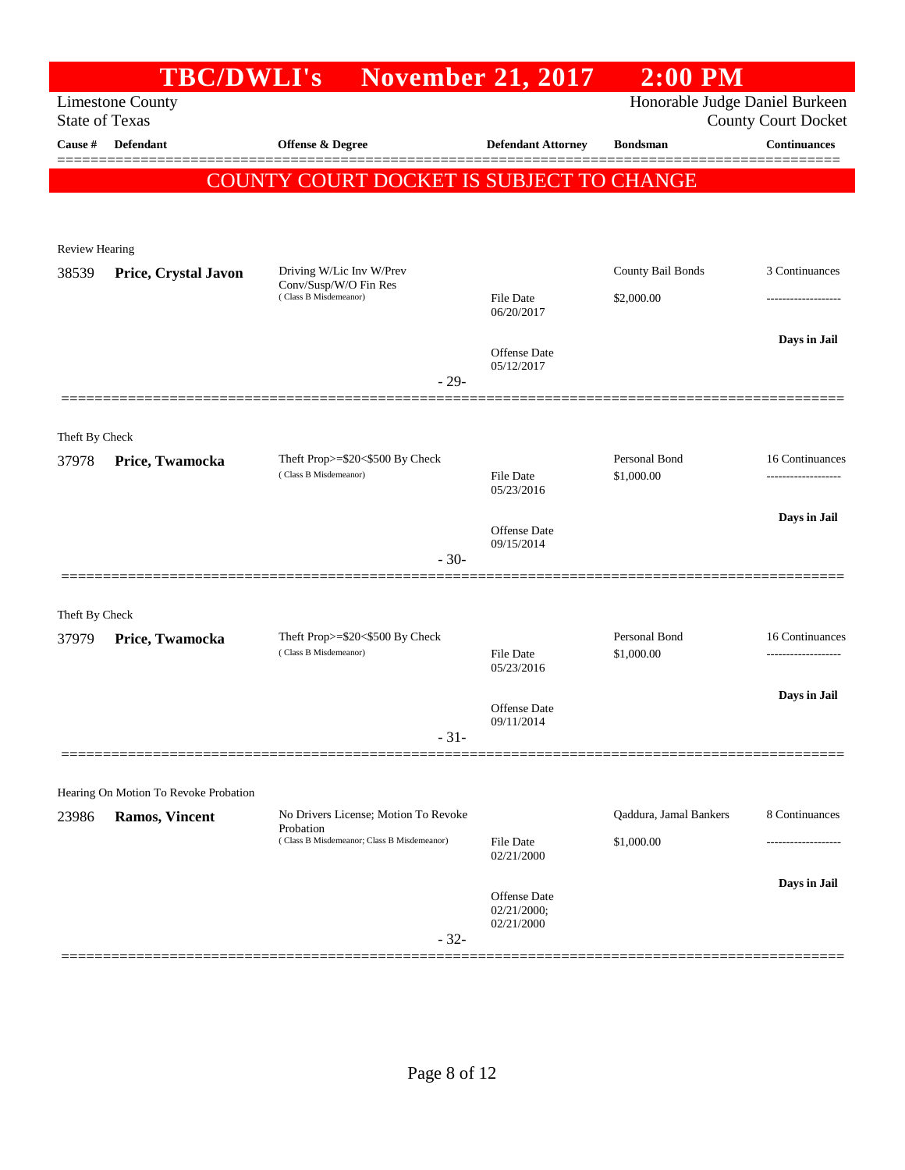|                       | <b>TBC/DWLI's</b>                     |                                                          | <b>November 21, 2017</b>          | $2:00$ PM                      |                            |
|-----------------------|---------------------------------------|----------------------------------------------------------|-----------------------------------|--------------------------------|----------------------------|
| <b>State of Texas</b> | <b>Limestone County</b>               |                                                          |                                   | Honorable Judge Daniel Burkeen | <b>County Court Docket</b> |
| Cause #               | Defendant                             | <b>Offense &amp; Degree</b>                              | <b>Defendant Attorney</b>         | <b>Bondsman</b>                | <b>Continuances</b>        |
|                       |                                       | COUNTY COURT DOCKET IS SUBJECT TO CHANGE                 |                                   |                                |                            |
|                       |                                       |                                                          |                                   |                                |                            |
| <b>Review Hearing</b> |                                       |                                                          |                                   |                                |                            |
| 38539                 | Price, Crystal Javon                  | Driving W/Lic Inv W/Prev                                 |                                   | County Bail Bonds              | 3 Continuances             |
|                       |                                       | Conv/Susp/W/O Fin Res<br>(Class B Misdemeanor)           | File Date                         | \$2,000.00                     |                            |
|                       |                                       |                                                          | 06/20/2017                        |                                |                            |
|                       |                                       |                                                          | Offense Date<br>05/12/2017        |                                | Days in Jail               |
|                       |                                       | $-29-$                                                   |                                   |                                |                            |
|                       |                                       |                                                          |                                   |                                |                            |
| Theft By Check        |                                       |                                                          |                                   |                                |                            |
| 37978                 | Price, Twamocka                       | Theft Prop>=\$20<\$500 By Check<br>(Class B Misdemeanor) | File Date                         | Personal Bond<br>\$1,000.00    | 16 Continuances            |
|                       |                                       |                                                          | 05/23/2016                        |                                |                            |
|                       |                                       |                                                          | <b>Offense Date</b><br>09/15/2014 |                                | Days in Jail               |
|                       |                                       | $-30-$                                                   |                                   |                                |                            |
|                       |                                       |                                                          |                                   |                                |                            |
| Theft By Check        |                                       |                                                          |                                   |                                |                            |
| 37979                 | Price, Twamocka                       | Theft Prop>=\$20<\$500 By Check<br>(Class B Misdemeanor) | File Date                         | Personal Bond<br>\$1,000.00    | 16 Continuances            |
|                       |                                       |                                                          | 05/23/2016                        |                                |                            |
|                       |                                       |                                                          | Offense Date<br>09/11/2014        |                                | Days in Jail               |
|                       |                                       | $-31-$                                                   |                                   |                                |                            |
|                       |                                       |                                                          |                                   |                                |                            |
|                       | Hearing On Motion To Revoke Probation | No Drivers License; Motion To Revoke                     |                                   | Qaddura, Jamal Bankers         | 8 Continuances             |
| 23986                 | <b>Ramos, Vincent</b>                 | Probation<br>(Class B Misdemeanor; Class B Misdemeanor)  | File Date                         | \$1,000.00                     |                            |
|                       |                                       |                                                          | 02/21/2000                        |                                |                            |
|                       |                                       |                                                          | Offense Date                      |                                | Days in Jail               |
|                       |                                       |                                                          | 02/21/2000;<br>02/21/2000         |                                |                            |
|                       |                                       | $-32-$                                                   |                                   |                                |                            |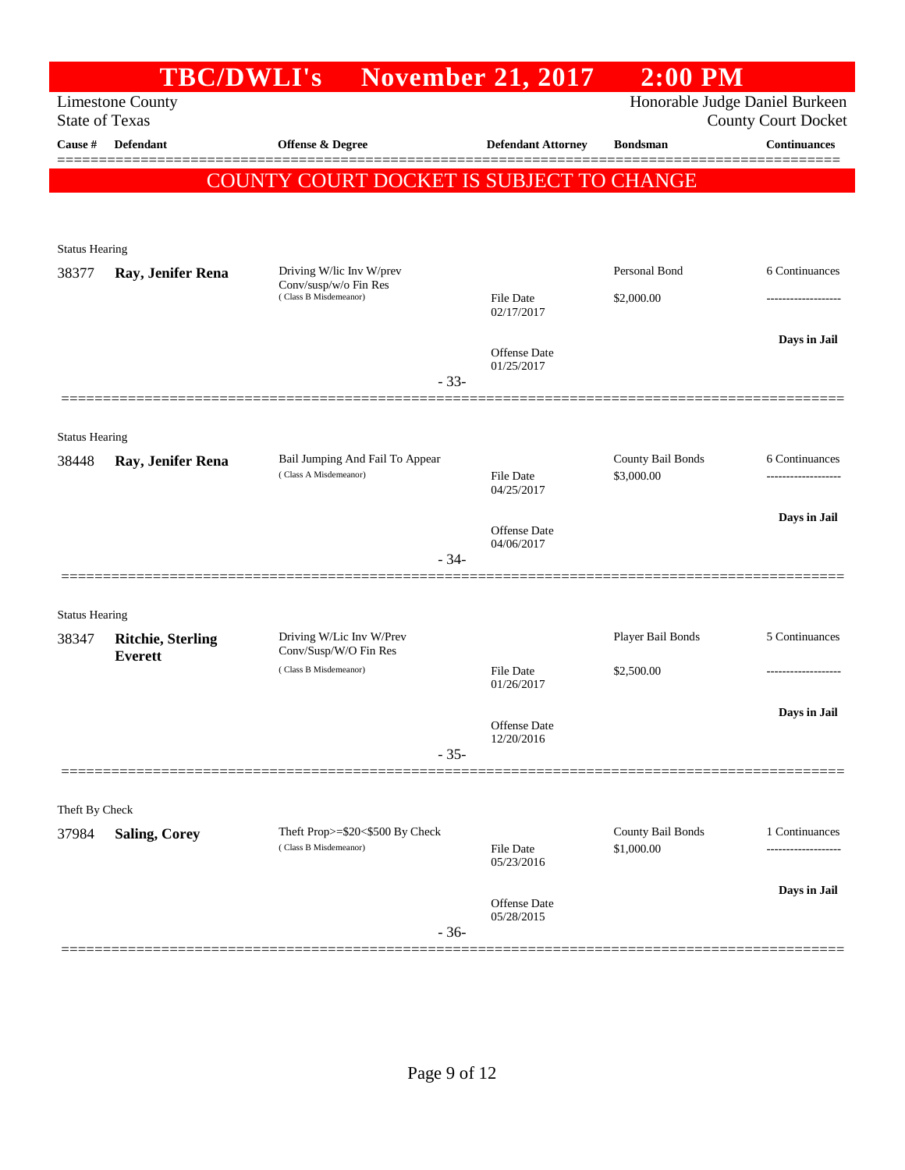|                       |                                            | <b>TBC/DWLI's</b>                                        | <b>November 21, 2017</b>          | $2:00$ PM         |                                |
|-----------------------|--------------------------------------------|----------------------------------------------------------|-----------------------------------|-------------------|--------------------------------|
|                       | <b>Limestone County</b>                    |                                                          |                                   |                   | Honorable Judge Daniel Burkeen |
| <b>State of Texas</b> |                                            |                                                          |                                   |                   | <b>County Court Docket</b>     |
| Cause #               | <b>Defendant</b>                           | Offense & Degree                                         | <b>Defendant Attorney</b>         | <b>Bondsman</b>   | <b>Continuances</b>            |
|                       |                                            | COUNTY COURT DOCKET IS SUBJECT TO CHANGE                 |                                   |                   |                                |
|                       |                                            |                                                          |                                   |                   |                                |
|                       |                                            |                                                          |                                   |                   |                                |
| <b>Status Hearing</b> |                                            |                                                          |                                   |                   |                                |
| 38377                 | Ray, Jenifer Rena                          | Driving W/lic Inv W/prev<br>Conv/susp/w/o Fin Res        |                                   | Personal Bond     | 6 Continuances                 |
|                       |                                            | (Class B Misdemeanor)                                    | File Date<br>02/17/2017           | \$2,000.00        | ---------------                |
|                       |                                            |                                                          |                                   |                   | Days in Jail                   |
|                       |                                            |                                                          | <b>Offense Date</b><br>01/25/2017 |                   |                                |
|                       |                                            | $-33-$                                                   |                                   |                   |                                |
|                       |                                            |                                                          |                                   |                   |                                |
| <b>Status Hearing</b> |                                            |                                                          |                                   |                   |                                |
| 38448                 | Ray, Jenifer Rena                          | Bail Jumping And Fail To Appear<br>(Class A Misdemeanor) |                                   | County Bail Bonds | 6 Continuances                 |
|                       |                                            |                                                          | <b>File Date</b><br>04/25/2017    | \$3,000.00        |                                |
|                       |                                            |                                                          |                                   |                   | Days in Jail                   |
|                       |                                            |                                                          | Offense Date<br>04/06/2017        |                   |                                |
|                       |                                            | $-34-$                                                   |                                   |                   |                                |
|                       |                                            |                                                          |                                   |                   |                                |
| <b>Status Hearing</b> |                                            |                                                          |                                   |                   |                                |
| 38347                 | <b>Ritchie, Sterling</b><br><b>Everett</b> | Driving W/Lic Inv W/Prev<br>Conv/Susp/W/O Fin Res        |                                   | Player Bail Bonds | 5 Continuances                 |
|                       |                                            | (Class B Misdemeanor)                                    | File Date                         | \$2,500.00        |                                |
|                       |                                            |                                                          | 01/26/2017                        |                   |                                |
|                       |                                            |                                                          | Offense Date                      |                   | Days in Jail                   |
|                       |                                            | $-35-$                                                   | 12/20/2016                        |                   |                                |
|                       |                                            |                                                          |                                   |                   |                                |
| Theft By Check        |                                            |                                                          |                                   |                   |                                |
| 37984                 | <b>Saling, Corey</b>                       | Theft Prop>=\$20<\$500 By Check                          |                                   | County Bail Bonds | 1 Continuances                 |
|                       |                                            | (Class B Misdemeanor)                                    | File Date<br>05/23/2016           | \$1,000.00        |                                |
|                       |                                            |                                                          |                                   |                   | Days in Jail                   |
|                       |                                            |                                                          | Offense Date<br>05/28/2015        |                   |                                |
|                       |                                            | $-36-$                                                   |                                   |                   |                                |
|                       |                                            |                                                          |                                   |                   |                                |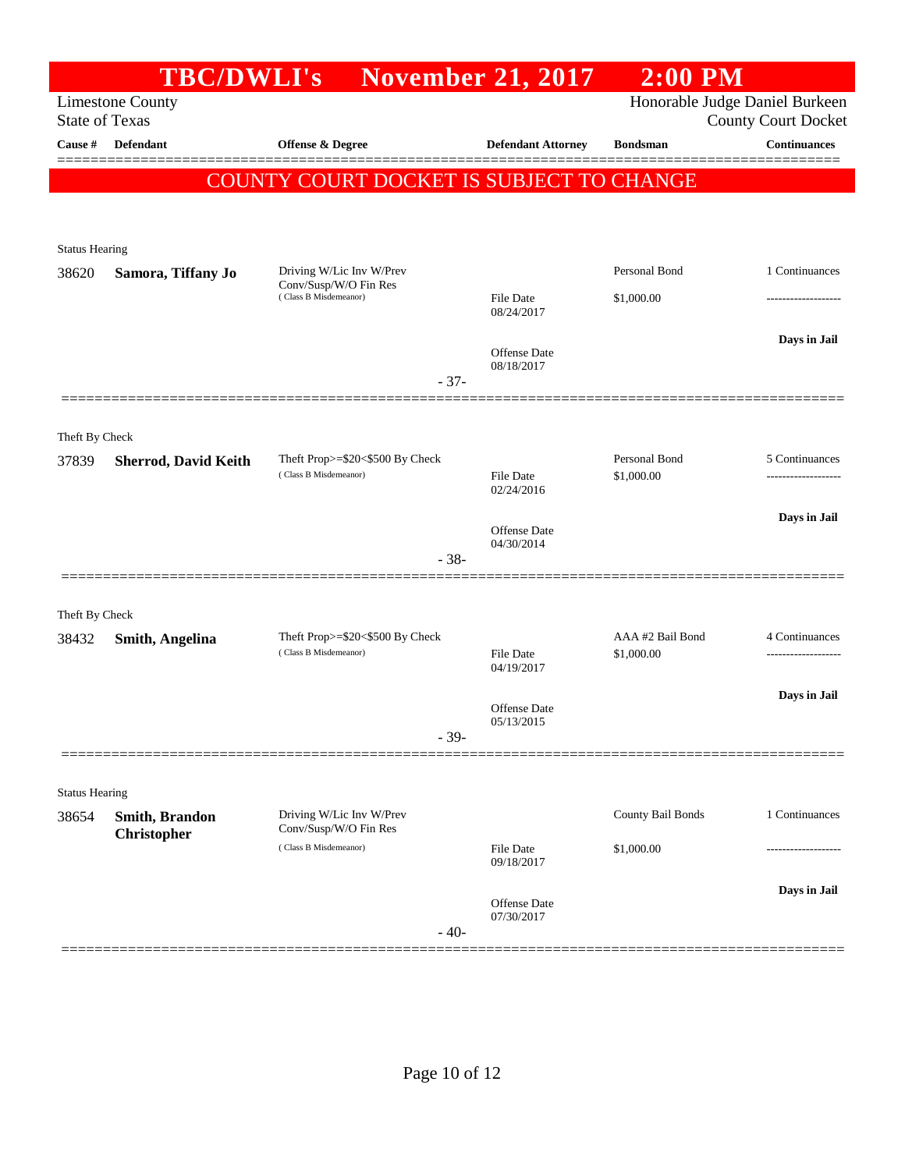|                                | <b>TBC/DWLI's</b>                    |                                                                            | <b>November 21, 2017</b>       | $2:00$ PM                      |                                     |
|--------------------------------|--------------------------------------|----------------------------------------------------------------------------|--------------------------------|--------------------------------|-------------------------------------|
|                                | <b>Limestone County</b>              |                                                                            |                                |                                | Honorable Judge Daniel Burkeen      |
| <b>State of Texas</b>          |                                      |                                                                            |                                |                                | <b>County Court Docket</b>          |
| Cause #                        | Defendant                            | Offense & Degree                                                           | <b>Defendant Attorney</b>      | <b>Bondsman</b>                | <b>Continuances</b>                 |
|                                |                                      | COUNTY COURT DOCKET IS SUBJECT TO CHANGE                                   |                                |                                |                                     |
|                                |                                      |                                                                            |                                |                                |                                     |
|                                |                                      |                                                                            |                                |                                |                                     |
| <b>Status Hearing</b>          |                                      |                                                                            |                                | Personal Bond                  | 1 Continuances                      |
| 38620                          | Samora, Tiffany Jo                   | Driving W/Lic Inv W/Prev<br>Conv/Susp/W/O Fin Res<br>(Class B Misdemeanor) |                                |                                |                                     |
|                                |                                      |                                                                            | File Date<br>08/24/2017        | \$1,000.00                     |                                     |
|                                |                                      |                                                                            |                                |                                | Days in Jail                        |
|                                |                                      |                                                                            | Offense Date<br>08/18/2017     |                                |                                     |
|                                |                                      | $-37-$                                                                     |                                |                                |                                     |
|                                |                                      |                                                                            |                                |                                |                                     |
| Theft By Check                 |                                      |                                                                            |                                |                                |                                     |
| 37839                          | <b>Sherrod, David Keith</b>          | Theft Prop>=\$20<\$500 By Check<br>(Class B Misdemeanor)                   | <b>File Date</b>               | Personal Bond<br>\$1,000.00    | 5 Continuances                      |
|                                |                                      |                                                                            | 02/24/2016                     |                                |                                     |
|                                |                                      |                                                                            |                                |                                | Days in Jail                        |
|                                |                                      |                                                                            | Offense Date<br>04/30/2014     |                                |                                     |
|                                |                                      | $-38-$                                                                     |                                |                                |                                     |
|                                |                                      |                                                                            |                                |                                |                                     |
| Theft By Check                 |                                      |                                                                            |                                |                                |                                     |
| 38432                          | <b>Smith, Angelina</b>               | Theft Prop>=\$20<\$500 By Check<br>(Class B Misdemeanor)                   | <b>File Date</b>               | AAA #2 Bail Bond<br>\$1,000.00 | 4 Continuances<br>----------------- |
|                                |                                      |                                                                            | 04/19/2017                     |                                |                                     |
|                                |                                      |                                                                            | Offense Date                   |                                | Days in Jail                        |
|                                |                                      | $-39-$                                                                     | 05/13/2015                     |                                |                                     |
|                                |                                      |                                                                            |                                |                                |                                     |
|                                |                                      |                                                                            |                                |                                |                                     |
| <b>Status Hearing</b><br>38654 |                                      | Driving W/Lic Inv W/Prev                                                   |                                | County Bail Bonds              | 1 Continuances                      |
|                                | Smith, Brandon<br><b>Christopher</b> | Conv/Susp/W/O Fin Res                                                      |                                |                                |                                     |
|                                |                                      | (Class B Misdemeanor)                                                      | <b>File Date</b><br>09/18/2017 | \$1,000.00                     |                                     |
|                                |                                      |                                                                            |                                |                                | Days in Jail                        |
|                                |                                      |                                                                            | Offense Date<br>07/30/2017     |                                |                                     |
|                                |                                      | $-40-$                                                                     |                                |                                |                                     |
|                                |                                      |                                                                            |                                |                                |                                     |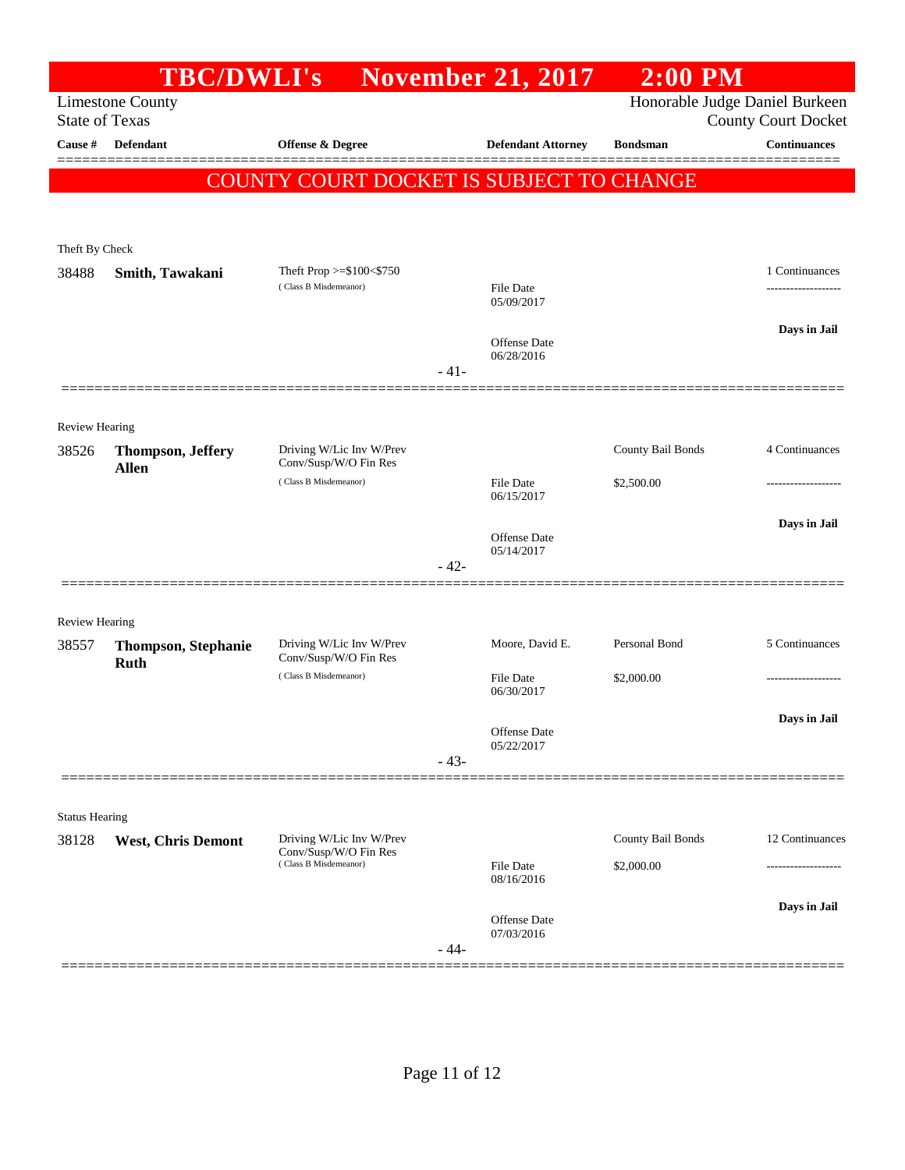|                                | <b>TBC/DWLI's</b>          |                                                   |        | <b>November 21, 2017</b>       | $2:00$ PM         |                                                              |
|--------------------------------|----------------------------|---------------------------------------------------|--------|--------------------------------|-------------------|--------------------------------------------------------------|
| <b>State of Texas</b>          | <b>Limestone County</b>    |                                                   |        |                                |                   | Honorable Judge Daniel Burkeen<br><b>County Court Docket</b> |
| Cause #                        | <b>Defendant</b>           | Offense & Degree                                  |        | <b>Defendant Attorney</b>      | <b>Bondsman</b>   | <b>Continuances</b>                                          |
|                                |                            | COUNTY COURT DOCKET IS SUBJECT TO CHANGE          |        |                                |                   |                                                              |
|                                |                            |                                                   |        |                                |                   |                                                              |
| Theft By Check                 |                            |                                                   |        |                                |                   |                                                              |
| 38488                          | Smith, Tawakani            | Theft Prop >=\$100<\$750                          |        |                                |                   | 1 Continuances                                               |
|                                |                            | (Class B Misdemeanor)                             |        | <b>File Date</b><br>05/09/2017 |                   |                                                              |
|                                |                            |                                                   |        | Offense Date                   |                   | Days in Jail                                                 |
|                                |                            |                                                   | $-41-$ | 06/28/2016                     |                   |                                                              |
|                                |                            |                                                   |        |                                |                   |                                                              |
| <b>Review Hearing</b><br>38526 | <b>Thompson, Jeffery</b>   | Driving W/Lic Inv W/Prev                          |        |                                | County Bail Bonds | 4 Continuances                                               |
|                                | <b>Allen</b>               | Conv/Susp/W/O Fin Res<br>(Class B Misdemeanor)    |        | <b>File Date</b>               | \$2,500.00        |                                                              |
|                                |                            |                                                   |        | 06/15/2017                     |                   |                                                              |
|                                |                            |                                                   |        | <b>Offense Date</b>            |                   | Days in Jail                                                 |
|                                |                            |                                                   | $-42-$ | 05/14/2017                     |                   |                                                              |
|                                |                            |                                                   |        |                                |                   |                                                              |
| <b>Review Hearing</b>          |                            |                                                   |        |                                |                   |                                                              |
| 38557                          | <b>Thompson, Stephanie</b> | Driving W/Lic Inv W/Prev<br>Conv/Susp/W/O Fin Res |        | Moore, David E.                | Personal Bond     | 5 Continuances                                               |
|                                | <b>Ruth</b>                | (Class B Misdemeanor)                             |        | <b>File Date</b>               | \$2,000.00        |                                                              |
|                                |                            |                                                   |        | 06/30/2017                     |                   |                                                              |
|                                |                            |                                                   |        | Offense Date                   |                   | Days in Jail                                                 |
|                                |                            |                                                   | $-43-$ | 05/22/2017                     |                   |                                                              |
|                                |                            |                                                   |        |                                |                   |                                                              |
| <b>Status Hearing</b>          |                            |                                                   |        |                                |                   |                                                              |
| 38128                          | <b>West, Chris Demont</b>  | Driving W/Lic Inv W/Prev<br>Conv/Susp/W/O Fin Res |        |                                | County Bail Bonds | 12 Continuances                                              |
|                                |                            | (Class B Misdemeanor)                             |        | <b>File Date</b><br>08/16/2016 | \$2,000.00        |                                                              |
|                                |                            |                                                   |        | Offense Date                   |                   | Days in Jail                                                 |
|                                |                            |                                                   | $-44-$ | 07/03/2016                     |                   |                                                              |
|                                |                            |                                                   |        |                                |                   |                                                              |